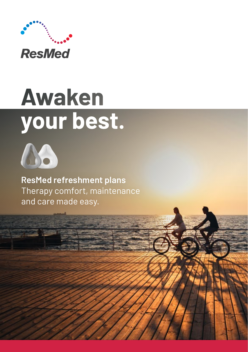

# **Awaken** your best.



**ResMed refreshment plans**  Therapy comfort, maintenance and care made easy.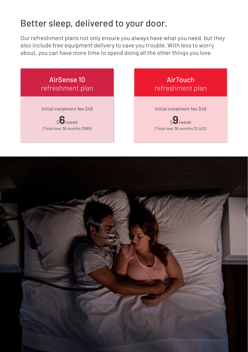### Better sleep, delivered to your door.

Our refreshment plans not only ensure you always have what you need, but they also include free equipment delivery to save you trouble. With less to worry about, you can have more time to spend doing all the other things you love.



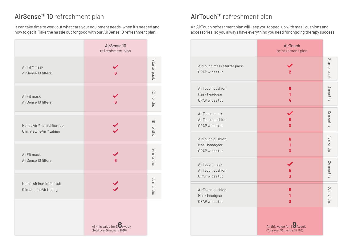## AirSense™ 10 refreshment plan

It can take time to work out what care your equipment needs, when it's needed and how to get it. Take the hassle out for good with our AirSense 10 refreshment plan.

|                                                                            | AirSense 10<br>refreshment plan                                      |              |
|----------------------------------------------------------------------------|----------------------------------------------------------------------|--------------|
| AirFit <sup>™</sup> mask<br>AirSense 10 filters                            | 6                                                                    | Starter pack |
| AirFit mask<br>AirSense 10 filters                                         | 6                                                                    | 12 months    |
| HumidAir <sup>™</sup> humidifier tub<br>ClimateLineAir <sup>™</sup> tubing |                                                                      | 18 months    |
| AirFit mask<br>AirSense 10 filters                                         | 6                                                                    | 24 months    |
| HumidAir humidifier tub<br>ClimateLineAir tubing                           |                                                                      | 30 months    |
|                                                                            | All this value for \$ <b>6</b> /week<br>(Total over 36 months \$985) |              |

#### AirTouch™ refreshment plan

An AirTouch refreshment plan will keep you topped-up with mask cushions and accessories, so you always have everything you need for ongoing therapy success.

|                                                     | <b>AirTouch</b><br>refreshment plan    |              |
|-----------------------------------------------------|----------------------------------------|--------------|
| AirTouch mask starter pack<br>CPAP wipes tub        | $\overline{2}$                         | Starter pack |
| AirTouch cushion<br>Mask headgear<br>CPAP wipes tub | 9<br>1<br>4                            | 3 months     |
| AirTouch mask<br>AirTouch cushion<br>CPAP wipes tub | 5<br>$\overline{3}$                    | 12 months    |
| AirTouch cushion<br>Mask headgear<br>CPAP wipes tub | 6<br>1<br>3                            | 18 months    |
| AirTouch mask<br>AirTouch cushion<br>CPAP wipes tub | 5<br>$\overline{\mathbf{3}}$           | 24 months    |
| AirTouch cushion<br>Mask headgear<br>CPAP wipes tub | 6<br>1<br>3                            | 30 months    |
|                                                     | All this value for $\mathcal{S}$ /week |              |

(Total over 36 months \$1,453)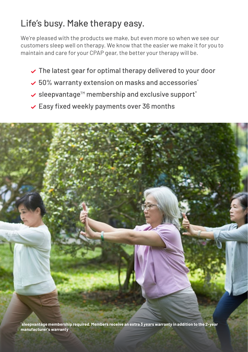## Life's busy. Make therapy easy.

We're pleased with the products we make, but even more so when we see our customers sleep well on therapy. We know that the easier we make it for you to maintain and care for your CPAP gear, the better your therapy will be.

- $\vee$  The latest gear for optimal therapy delivered to your door
- $\sim$  50% warranty extension on masks and accessories\*
- sleepvantage™ membership and exclusive support\*
- $\checkmark$  Easy fixed weekly payments over 36 months



**\* sleepvantage membership required. Members receive an extra 3 years warranty in addition to the 2-year manufacturer's warranty**